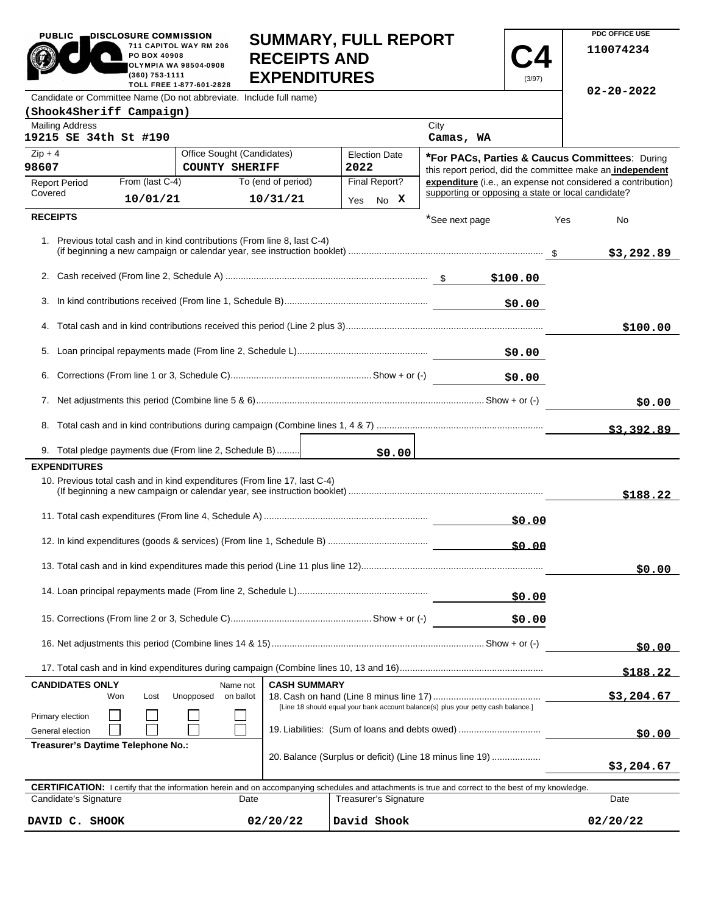|                                                                                                                                                                                         | SUIVIIVIAR I, FULL REFUR I<br>711 CAPITOL WAY RM 206<br>PO BOX 40908<br><b>RECEIPTS AND</b><br><b>OLYMPIA WA 98504-0908</b><br>$(360)$ 753-1111<br><b>EXPENDITURES</b><br>(3/97)<br>TOLL FREE 1-877-601-2828 |                                                                           |                                |                                                                                                                                                                                     |                                                    |            |            | 110074234                                                    |  |
|-----------------------------------------------------------------------------------------------------------------------------------------------------------------------------------------|--------------------------------------------------------------------------------------------------------------------------------------------------------------------------------------------------------------|---------------------------------------------------------------------------|--------------------------------|-------------------------------------------------------------------------------------------------------------------------------------------------------------------------------------|----------------------------------------------------|------------|------------|--------------------------------------------------------------|--|
|                                                                                                                                                                                         |                                                                                                                                                                                                              | Candidate or Committee Name (Do not abbreviate. Include full name)        |                                |                                                                                                                                                                                     |                                                    |            |            | $02 - 20 - 2022$                                             |  |
| (Shook4Sheriff Campaign)                                                                                                                                                                |                                                                                                                                                                                                              |                                                                           |                                |                                                                                                                                                                                     |                                                    |            |            |                                                              |  |
| <b>Mailing Address</b><br>19215 SE 34th St #190                                                                                                                                         |                                                                                                                                                                                                              |                                                                           |                                |                                                                                                                                                                                     | City<br>Camas, WA                                  |            |            |                                                              |  |
| $Zip + 4$                                                                                                                                                                               |                                                                                                                                                                                                              | Office Sought (Candidates)                                                |                                | <b>Election Date</b>                                                                                                                                                                |                                                    |            |            | <b>*For PACs, Parties &amp; Caucus Committees: During</b>    |  |
| 98607                                                                                                                                                                                   |                                                                                                                                                                                                              | <b>COUNTY SHERIFF</b>                                                     |                                | 2022                                                                                                                                                                                |                                                    |            |            | this report period, did the committee make an independent    |  |
| <b>Report Period</b><br>Covered                                                                                                                                                         | From (last C-4)<br>10/01/21                                                                                                                                                                                  |                                                                           | To (end of period)<br>10/31/21 | Final Report?<br>Yes No X                                                                                                                                                           | supporting or opposing a state or local candidate? |            |            | expenditure (i.e., an expense not considered a contribution) |  |
| <b>RECEIPTS</b>                                                                                                                                                                         |                                                                                                                                                                                                              |                                                                           |                                |                                                                                                                                                                                     | *See next page                                     |            | Yes        | No                                                           |  |
|                                                                                                                                                                                         |                                                                                                                                                                                                              | 1. Previous total cash and in kind contributions (From line 8, last C-4)  |                                |                                                                                                                                                                                     |                                                    |            |            | \$3,292.89                                                   |  |
|                                                                                                                                                                                         |                                                                                                                                                                                                              |                                                                           |                                |                                                                                                                                                                                     |                                                    |            |            |                                                              |  |
| 3.                                                                                                                                                                                      |                                                                                                                                                                                                              |                                                                           |                                |                                                                                                                                                                                     |                                                    | \$0.00     |            |                                                              |  |
|                                                                                                                                                                                         |                                                                                                                                                                                                              |                                                                           |                                |                                                                                                                                                                                     |                                                    |            |            | \$100.00                                                     |  |
| 5.                                                                                                                                                                                      |                                                                                                                                                                                                              |                                                                           |                                |                                                                                                                                                                                     |                                                    | \$0.00     |            |                                                              |  |
| 6.                                                                                                                                                                                      |                                                                                                                                                                                                              |                                                                           |                                |                                                                                                                                                                                     |                                                    | \$0.00     |            |                                                              |  |
|                                                                                                                                                                                         |                                                                                                                                                                                                              |                                                                           |                                |                                                                                                                                                                                     |                                                    |            | \$0.00     |                                                              |  |
|                                                                                                                                                                                         |                                                                                                                                                                                                              |                                                                           |                                |                                                                                                                                                                                     |                                                    |            |            | \$3,392.89                                                   |  |
|                                                                                                                                                                                         |                                                                                                                                                                                                              | 9. Total pledge payments due (From line 2, Schedule B)                    |                                | \$0.00                                                                                                                                                                              |                                                    |            |            |                                                              |  |
| <b>EXPENDITURES</b>                                                                                                                                                                     |                                                                                                                                                                                                              |                                                                           |                                |                                                                                                                                                                                     |                                                    |            |            |                                                              |  |
|                                                                                                                                                                                         |                                                                                                                                                                                                              | 10. Previous total cash and in kind expenditures (From line 17, last C-4) |                                |                                                                                                                                                                                     |                                                    |            |            | \$188.22                                                     |  |
|                                                                                                                                                                                         |                                                                                                                                                                                                              |                                                                           |                                |                                                                                                                                                                                     |                                                    | \$0.00     |            |                                                              |  |
|                                                                                                                                                                                         |                                                                                                                                                                                                              |                                                                           |                                |                                                                                                                                                                                     |                                                    | 50.00      |            |                                                              |  |
|                                                                                                                                                                                         |                                                                                                                                                                                                              |                                                                           |                                |                                                                                                                                                                                     |                                                    |            |            | \$0.00                                                       |  |
|                                                                                                                                                                                         |                                                                                                                                                                                                              |                                                                           |                                |                                                                                                                                                                                     |                                                    | \$0.00     |            |                                                              |  |
|                                                                                                                                                                                         |                                                                                                                                                                                                              |                                                                           |                                |                                                                                                                                                                                     |                                                    | \$0.00     |            |                                                              |  |
|                                                                                                                                                                                         |                                                                                                                                                                                                              |                                                                           |                                |                                                                                                                                                                                     |                                                    |            |            | \$0.00                                                       |  |
|                                                                                                                                                                                         |                                                                                                                                                                                                              |                                                                           |                                |                                                                                                                                                                                     |                                                    |            |            | <u>\$188.22</u>                                              |  |
| <b>CANDIDATES ONLY</b><br><b>CASH SUMMARY</b><br>Name not<br>Won<br>Unopposed<br>Lost<br>on ballot<br>[Line 18 should equal your bank account balance(s) plus your petty cash balance.] |                                                                                                                                                                                                              |                                                                           |                                |                                                                                                                                                                                     |                                                    | \$3,204.67 |            |                                                              |  |
| Primary election<br>General election                                                                                                                                                    | 19. Liabilities: (Sum of loans and debts owed)                                                                                                                                                               |                                                                           |                                |                                                                                                                                                                                     |                                                    |            | \$0.00     |                                                              |  |
|                                                                                                                                                                                         | Treasurer's Daytime Telephone No.:<br>20. Balance (Surplus or deficit) (Line 18 minus line 19)                                                                                                               |                                                                           |                                |                                                                                                                                                                                     |                                                    |            | \$3,204.67 |                                                              |  |
| Candidate's Signature                                                                                                                                                                   |                                                                                                                                                                                                              | Date                                                                      |                                | <b>CERTIFICATION:</b> I certify that the information herein and on accompanying schedules and attachments is true and correct to the best of my knowledge.<br>Treasurer's Signature |                                                    |            |            | Date                                                         |  |
| DAVID C. SHOOK                                                                                                                                                                          |                                                                                                                                                                                                              |                                                                           | 02/20/22                       | David Shook                                                                                                                                                                         |                                                    |            |            | 02/20/22                                                     |  |

**SUMMARY, FULL REPORT** 

**PDC OFFICE USE** 

PUBLIC DISCLOSURE COMMISSION<br>711 CAPITOL WAY RM